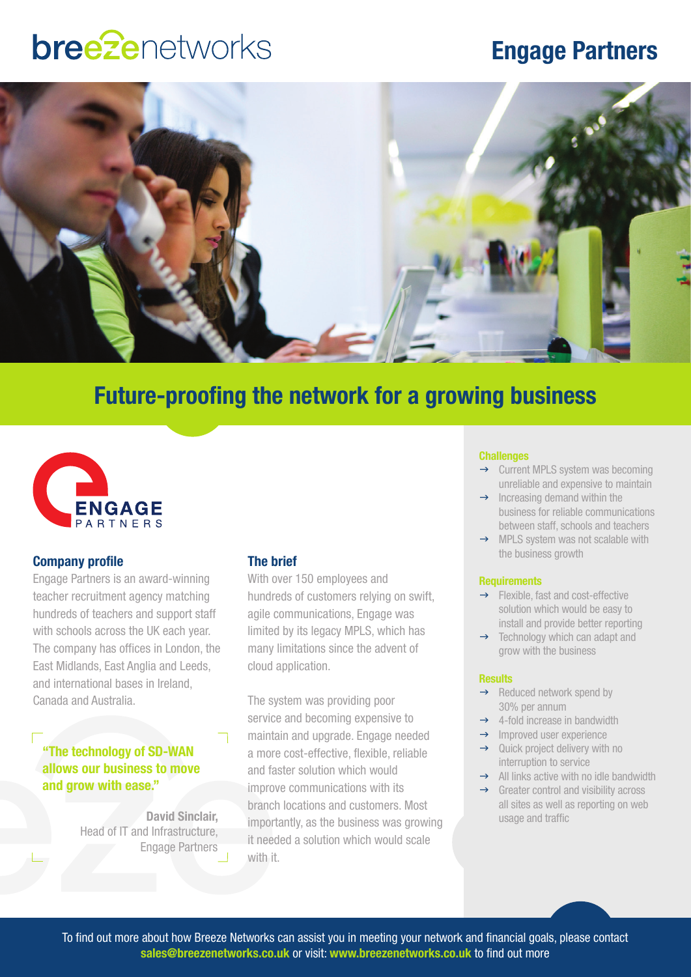## **bree**2enetworks

## **Engage Partners**



### **Future-proofing the network for a growing business**



### **Company profile**

Engage Partners is an award-winning teacher recruitment agency matching hundreds of teachers and support staff with schools across the UK each year. The company has offices in London, the East Midlands, East Anglia and Leeds, and international bases in Ireland, Canada and Australia.

### **"The technology of SD-WAN allows our business to move and grow with ease."**

**David Sinclair,**  Head of IT and Infrastructure, Engage Partners

### **The brief**

With over 150 employees and hundreds of customers relying on swift, agile communications, Engage was limited by its legacy MPLS, which has many limitations since the advent of cloud application.

The system was providing poor service and becoming expensive to maintain and upgrade. Engage needed a more cost-effective, flexible, reliable and faster solution which would improve communications with its branch locations and customers. Most importantly, as the business was growing it needed a solution which would scale with it.

#### **Challenges**

- $\rightarrow$  Current MPLS system was becoming unreliable and expensive to maintain
- $\rightarrow$  Increasing demand within the business for reliable communications between staff, schools and teachers
- $\rightarrow$  MPLS system was not scalable with the business growth

### **Requirements**

- $\rightarrow$  Flexible, fast and cost-effective solution which would be easy to install and provide better reporting
- $\rightarrow$  Technology which can adapt and grow with the business

### **Results**

- $\rightarrow$  Reduced network spend by 30% per annum
- $\rightarrow$  4-fold increase in bandwidth
- $\rightarrow$  Improved user experience
- $\rightarrow$  Quick project delivery with no interruption to service
- $\rightarrow$  All links active with no idle bandwidth
	- $\rightarrow$  Greater control and visibility across all sites as well as reporting on web usage and traffic